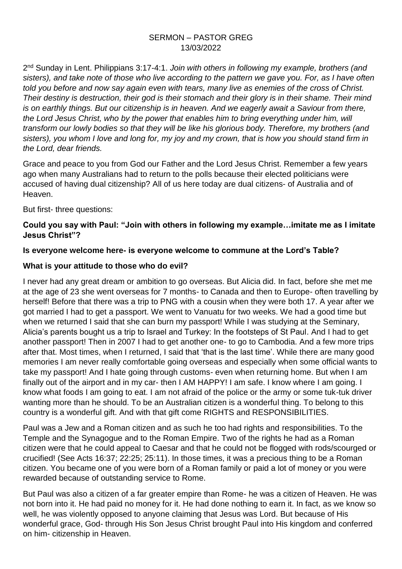#### SERMON – PASTOR GREG 13/03/2022

2 nd Sunday in Lent. Philippians 3:17-4:1. *Join with others in following my example, brothers (and sisters), and take note of those who live according to the pattern we gave you. For, as I have often told you before and now say again even with tears, many live as enemies of the cross of Christ. Their destiny is destruction, their god is their stomach and their glory is in their shame. Their mind is on earthly things. But our citizenship is in heaven. And we eagerly await a Saviour from there, the Lord Jesus Christ, who by the power that enables him to bring everything under him, will transform our lowly bodies so that they will be like his glorious body. Therefore, my brothers (and sisters), you whom I love and long for, my joy and my crown, that is how you should stand firm in the Lord, dear friends.* 

Grace and peace to you from God our Father and the Lord Jesus Christ. Remember a few years ago when many Australians had to return to the polls because their elected politicians were accused of having dual citizenship? All of us here today are dual citizens- of Australia and of Heaven.

But first- three questions:

#### **Could you say with Paul: "Join with others in following my example…imitate me as I imitate Jesus Christ"?**

## **Is everyone welcome here- is everyone welcome to commune at the Lord's Table?**

#### **What is your attitude to those who do evil?**

I never had any great dream or ambition to go overseas. But Alicia did. In fact, before she met me at the age of 23 she went overseas for 7 months- to Canada and then to Europe- often travelling by herself! Before that there was a trip to PNG with a cousin when they were both 17. A year after we got married I had to get a passport. We went to Vanuatu for two weeks. We had a good time but when we returned I said that she can burn my passport! While I was studying at the Seminary, Alicia's parents bought us a trip to Israel and Turkey: In the footsteps of St Paul. And I had to get another passport! Then in 2007 I had to get another one- to go to Cambodia. And a few more trips after that. Most times, when I returned, I said that 'that is the last time'. While there are many good memories I am never really comfortable going overseas and especially when some official wants to take my passport! And I hate going through customs- even when returning home. But when I am finally out of the airport and in my car- then I AM HAPPY! I am safe. I know where I am going. I know what foods I am going to eat. I am not afraid of the police or the army or some tuk-tuk driver wanting more than he should. To be an Australian citizen is a wonderful thing. To belong to this country is a wonderful gift. And with that gift come RIGHTS and RESPONSIBILITIES.

Paul was a Jew and a Roman citizen and as such he too had rights and responsibilities. To the Temple and the Synagogue and to the Roman Empire. Two of the rights he had as a Roman citizen were that he could appeal to Caesar and that he could not be flogged with rods/scourged or crucified! (See Acts 16:37; 22:25; 25:11). In those times, it was a precious thing to be a Roman citizen. You became one of you were born of a Roman family or paid a lot of money or you were rewarded because of outstanding service to Rome.

But Paul was also a citizen of a far greater empire than Rome- he was a citizen of Heaven. He was not born into it. He had paid no money for it. He had done nothing to earn it. In fact, as we know so well, he was violently opposed to anyone claiming that Jesus was Lord. But because of His wonderful grace, God- through His Son Jesus Christ brought Paul into His kingdom and conferred on him- citizenship in Heaven.